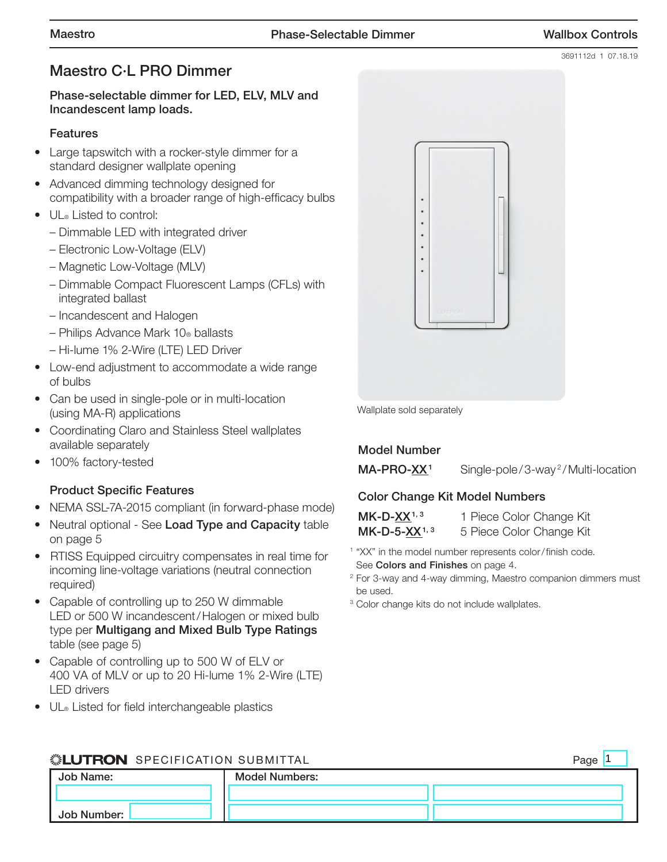3691112d 1 07.18.19

# Maestro C·L PRO Dimmer

### Phase-selectable dimmer for LED, ELV, MLV and Incandescent lamp loads.

### **Features**

- Large tapswitch with a rocker-style dimmer for a standard designer wallplate opening
- Advanced dimming technology designed for compatibility with a broader range of high-efficacy bulbs
- UL® Listed to control:
	- Dimmable LED with integrated driver
	- Electronic Low-Voltage (ELV)
	- Magnetic Low-Voltage (MLV)
	- Dimmable Compact Fluorescent Lamps (CFLs) with integrated ballast
	- Incandescent and Halogen
	- Philips Advance Mark 10® ballasts
	- Hi-lume 1% 2-Wire (LTE) LED Driver
- Low-end adjustment to accommodate a wide range of bulbs
- Can be used in single-pole or in multi-location (using MA-R) applications
- Coordinating Claro and Stainless Steel wallplates available separately
- 100% factory-tested

## Product Specific Features

- NEMA SSL-7A-2015 compliant (in forward-phase mode)
- Neutral optional See Load Type and Capacity table on page 5
- RTISS Equipped circuitry compensates in real time for incoming line-voltage variations (neutral connection required)
- Capable of controlling up to 250 W dimmable LED or 500 W incandescent/Halogen or mixed bulb type per Multigang and Mixed Bulb Type Ratings table (see page 5)
- Capable of controlling up to 500 W of ELV or 400 VA of MLV or up to 20 Hi-lume 1% 2-Wire (LTE) LED drivers
- UL® Listed for field interchangeable plastics



Wallplate sold separately

## Model Number

 $MA-PRO-XX<sup>1</sup>$  Single-pole/3-way<sup>2</sup>/Multi-location

## Color Change Kit Model Numbers

| $MK-D-XX1,3$      | 1 Piece Color Change Kit |
|-------------------|--------------------------|
| $MK-D-5-XX^{1,3}$ | 5 Piece Color Change Kit |

- <sup>1</sup> "XX" in the model number represents color/finish code. See Colors and Finishes on page 4.
- <sup>2</sup> For 3-way and 4-way dimming, Maestro companion dimmers must be used.
- <sup>3</sup> Color change kits do not include wallplates.

#### **SEUTRON** SPECIFICATION SUBMITTAL Job Name: Job Number: Model Numbers: Page 1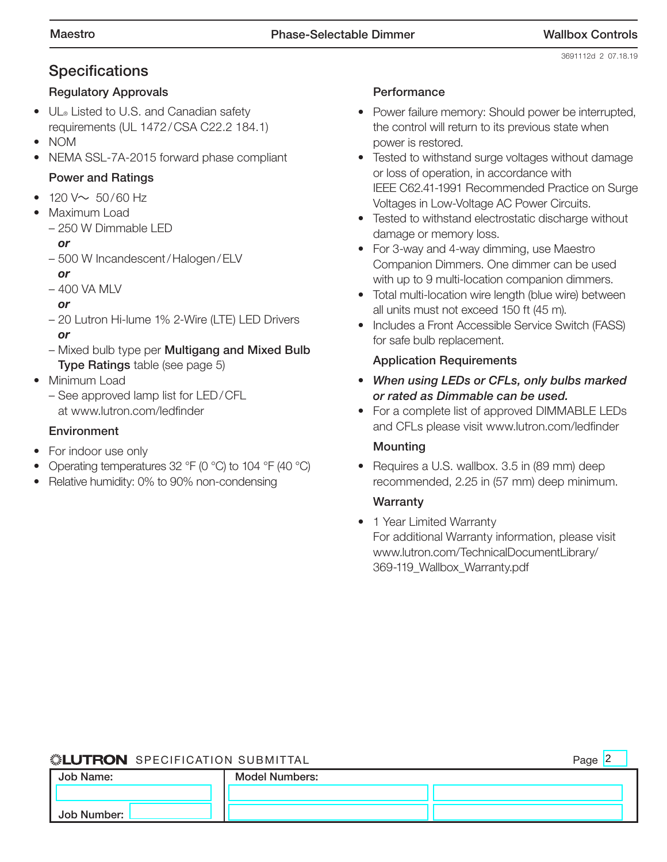# **Specifications**

## Regulatory Approvals

- UL® Listed to U.S. and Canadian safety requirements (UL 1472/CSA C22.2 184.1)
- NOM
- NEMA SSL-7A-2015 forward phase compliant

## Power and Ratings

- $120 \vee 50/60$  Hz
- Maximum Load
	- 250 W Dimmable LED
		- *or*
	- 500 W Incandescent/Halogen/ELV *or*
	- 400 VA MLV
		- *or*
	- 20 Lutron Hi-lume 1% 2-Wire (LTE) LED Drivers *or*
	- Mixed bulb type per Multigang and Mixed Bulb Type Ratings table (see page 5)
- Minimum Load
	- See approved lamp list for LED/CFL at www.lutron.com/ledfinder

## **Environment**

- For indoor use only
- Operating temperatures 32 °F (0 °C) to 104 °F (40 °C)
- Relative humidity: 0% to 90% non-condensing

### **Performance**

- Power failure memory: Should power be interrupted, the control will return to its previous state when power is restored.
- Tested to withstand surge voltages without damage or loss of operation, in accordance with IEEE C62.41-1991 Recommended Practice on Surge Voltages in Low-Voltage AC Power Circuits.
- Tested to withstand electrostatic discharge without damage or memory loss.
- For 3-way and 4-way dimming, use Maestro Companion Dimmers. One dimmer can be used with up to 9 multi-location companion dimmers.
- Total multi-location wire length (blue wire) between all units must not exceed 150 ft (45 m).
- Includes a Front Accessible Service Switch (FASS) for safe bulb replacement.

## Application Requirements

- *When using LEDs or CFLs, only bulbs marked or rated as Dimmable can be used.*
- For a complete list of approved DIMMABLE LEDs and CFLs please visit www.lutron.com/ledfinder

## Mounting

• Requires a U.S. wallbox. 3.5 in (89 mm) deep recommended, 2.25 in (57 mm) deep minimum.

### Warranty

• 1 Year Limited Warranty For additional Warranty information, please visit www.lutron.com/TechnicalDocumentLibrary/ 369-119\_Wallbox\_Warranty.pdf

### SPECIFICATION SUBMITTAL Page

|--|--|

| Job Name:   | <b>Model Numbers:</b> |  |
|-------------|-----------------------|--|
|             |                       |  |
| Job Number: |                       |  |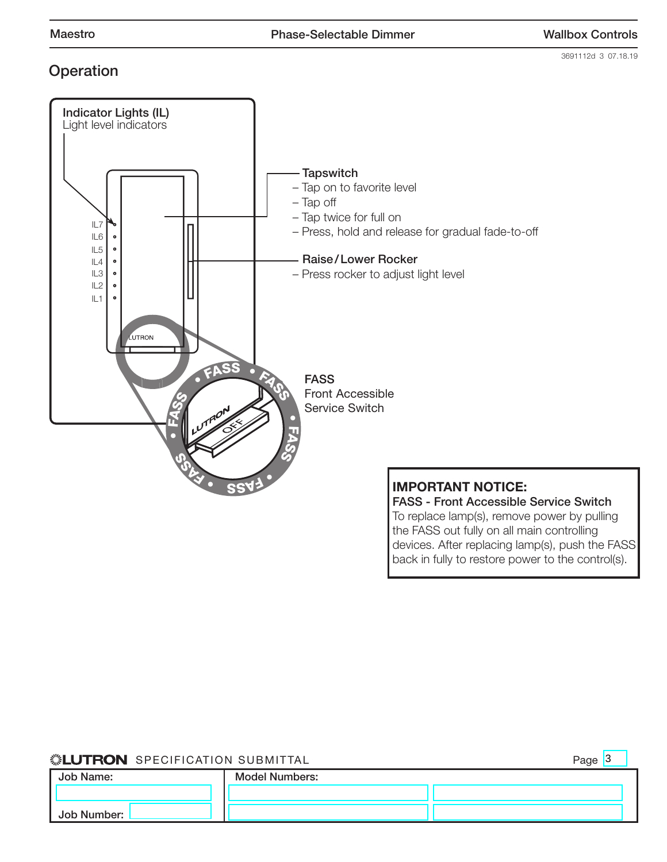3691112d 3 07.18.19

# **Operation**



To replace lamp(s), remove power by pulling the FASS out fully on all main controlling devices. After replacing lamp(s), push the FASS back in fully to restore power to the control(s).

### **SEUTRON** SPECIFICATION SUBMITTAL

Page  $3$ 

| Job Name:   | <b>Model Numbers:</b> |  |
|-------------|-----------------------|--|
|             |                       |  |
| Job Number: |                       |  |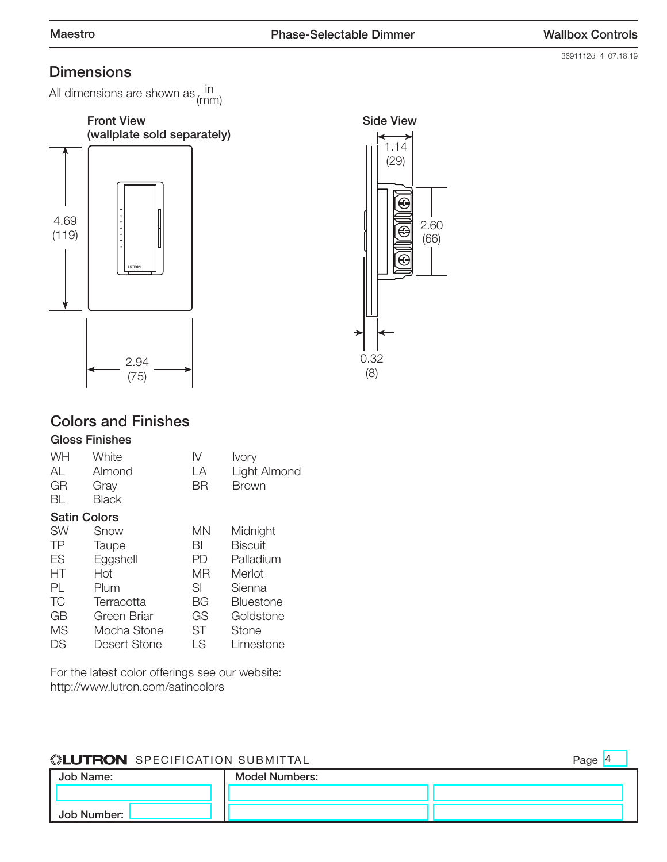3691112d 4 07.18.19

# **Dimensions**

All dimensions are shown as  $\frac{\mathsf{in}}{(\mathsf{mm})}$ 





# Colors and Finishes

## Gloss Finishes

| WH<br>AL<br>GR<br>BL | White<br>Almond<br>Gray<br><b>Black</b> | IV<br>LA<br>ΒR | <b>Ivory</b><br>Light Almond<br>Brown |
|----------------------|-----------------------------------------|----------------|---------------------------------------|
| <b>Satin Colors</b>  |                                         |                |                                       |
| <b>SW</b>            | Snow                                    | MN             | Midnight                              |
| TP                   | Taupe                                   | BI             | <b>Biscuit</b>                        |
| ES                   | Eggshell                                | PD             | Palladium                             |
| НT                   | Hot                                     | ΜR             | Merlot                                |
| PL.                  | Plum                                    | SI             | Sienna                                |
| ТC                   | Terracotta                              | BG             | <b>Bluestone</b>                      |
| GB                   | Green Briar                             | GS             | Goldstone                             |
| <b>MS</b>            | Mocha Stone                             | <b>ST</b>      | Stone                                 |
| DS                   | Desert Stone                            | LS             | Limestone                             |

For the latest color offerings see our website: http://www.lutron.com/satincolors

## **SEUTRON** SPECIFICATION SUBMITTAL

Job Name: Job Number: Model Numbers: Page 4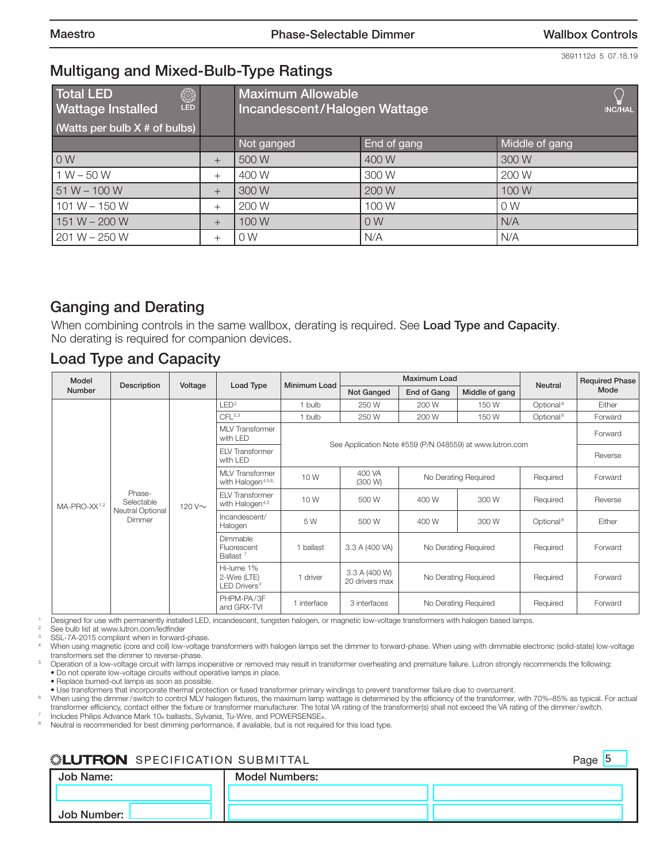3691112d 5 07.18.19

# Multigang and Mixed-Bulb-Type Ratings

| ි<br>LED<br><b>Total LED</b><br><b>Wattage Installed</b><br>(Watts per bulb $X \#$ of bulbs) |        | <b>Maximum Allowable</b><br>Incandescent/Halogen Wattage<br><b>INC/HAL</b> |                |                |
|----------------------------------------------------------------------------------------------|--------|----------------------------------------------------------------------------|----------------|----------------|
|                                                                                              |        | Not ganged                                                                 | End of gang    | Middle of gang |
| 0W                                                                                           | $^{+}$ | 500 W                                                                      | 400 W          | 300 W          |
| $1 W - 50 W$                                                                                 | $^+$   | 400 W                                                                      | 300 W          | 200 W          |
| $51 W - 100 W$                                                                               | $^+$   | 300 W                                                                      | 200 W          | 100W           |
| $101 W - 150 W$                                                                              | $^+$   | 200 W                                                                      | 100W           | 0 <sub>W</sub> |
| $151 W - 200 W$                                                                              | $^+$   | 100W                                                                       | 0 <sub>W</sub> | N/A            |
| $201 W - 250 W$                                                                              | ┿      | 0W                                                                         | N/A            | N/A            |

# Ganging and Derating

When combining controls in the same wallbox, derating is required. See Load Type and Capacity. No derating is required for companion devices.

# Load Type and Capacity

| Model                    | Description                       | Voltage                                         |                                                          | Minimum Load   |                                                          | Maximum Load         |                      | <b>Neutral</b>        | <b>Required Phase</b> |
|--------------------------|-----------------------------------|-------------------------------------------------|----------------------------------------------------------|----------------|----------------------------------------------------------|----------------------|----------------------|-----------------------|-----------------------|
| Number                   |                                   |                                                 | Load Type                                                |                | Not Ganged                                               | End of Gang          | Middle of gang       |                       | Mode                  |
|                          |                                   |                                                 | LED <sup>2</sup>                                         | 1 bulb         | 250 W                                                    | 200 W                | 150W                 | Optional <sup>8</sup> | Either                |
|                          |                                   |                                                 | CFL <sup>2,3</sup>                                       | 1 bulb         | 250 W                                                    | 200 W                | 150W                 | Optional <sup>8</sup> | Forward               |
|                          |                                   |                                                 | <b>MLV</b> Transformer<br>with LED                       |                |                                                          |                      |                      |                       | Forward               |
|                          |                                   |                                                 | <b>ELV Transformer</b><br>with LED                       |                | See Application Note #559 (P/N 048559) at www.lutron.com |                      |                      |                       | Reverse               |
|                          |                                   | 120 V~                                          | <b>MLV</b> Transformer<br>with Halogen <sup>4,5,6,</sup> | 10W            | 400 VA<br>(300 W)                                        |                      | No Derating Required | Required              | Forward               |
| MA-PRO-XX <sup>1,2</sup> | Phase-<br>Selectable              |                                                 | <b>ELV Transformer</b><br>with Halogen <sup>4,5</sup>    | 10W            | 500 W                                                    | 400 W                | 300 W                | Required              | Reverse               |
|                          | <b>Neutral Optional</b><br>Dimmer |                                                 | Incandescent/<br>Halogen                                 | 5 W            | 500 W                                                    | 400 W                | 300 W                | Optional <sup>8</sup> | Either                |
|                          |                                   | Dimmable<br>Fluorescent<br>Ballast <sup>7</sup> | 1 ballast                                                | 3.3 A (400 VA) | No Derating Required                                     |                      | Required             | Forward               |                       |
|                          |                                   |                                                 | Hi-lume 1%<br>2-Wire (LTE)<br>LED Drivers <sup>3</sup>   | 1 driver       | 3.3 A (400 W)<br>20 drivers max                          | No Derating Required |                      | Required              | Forward               |
|                          |                                   |                                                 | PHPM-PA/3F<br>and GRX-TVI                                | 1 interface    | 3 interfaces                                             |                      | No Derating Required | Required              | Forward               |

<sup>1</sup> Designed for use with permanently installed LED, incandescent, tungsten halogen, or magnetic low-voltage transformers with halogen based lamps.

See bulb list at www.lutron.com/ledfinder

SSL-7A-2015 compliant when in forward-phase.

When using magnetic (core and coil) low-voltage transformers with halogen lamps set the dimmer to forward-phase. When using with dimmable electronic (solid-state) low-voltage transformers set the dimmer to reverse-phase.

<sup>5</sup> Operation of a low-voltage circuit with lamps inoperative or removed may result in transformer overheating and premature failure. Lutron strongly recommends the following: • Do not operate low-voltage circuits without operative lamps in place.

• Replace burned-out lamps as soon as possible.

• Use transformers that incorporate thermal protection or fused transformer primary windings to prevent transformer failure due to overcurrent.

<sup>6</sup> When using the dimmer/ switch to control MLV halogen fixtures, the maximum lamp wattage is determined by the efficiency of the transformer, with 70%–85% as typical. For actual transformer efficiency, contact either the fixture or transformer manufacturer. The total VA rating of the transformer(s) shall not exceed the VA rating of the dimmer/ switch. Includes Philips Advance Mark 10® ballasts, Sylvania, Tu-Wire, and POWERSENSE®.

Neutral is recommended for best dimming performance, if available, but is not required for this load type.

## **SEUTRON** SPECIFICATION SUBMITTAL

Job Name: Job Number: Model Numbers: Page 5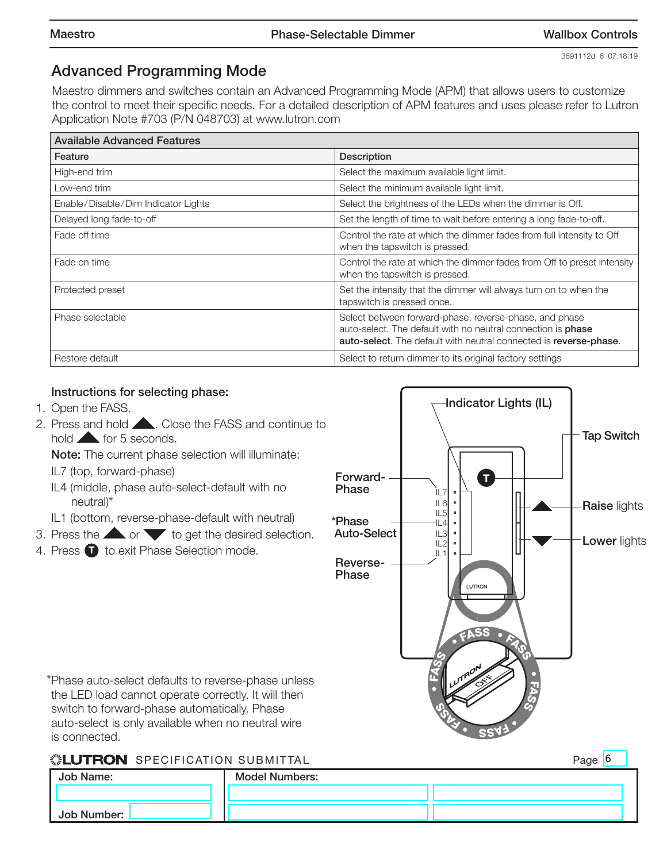# Advanced Programming Mode

Maestro dimmers and switches contain an Advanced Programming Mode (APM) that allows users to customize the control to meet their specific needs. For a detailed description of APM features and uses please refer to Lutron Application Note #703 (P/N 048703) at www.lutron.com

| <b>Available Advanced Features</b>  |                                                                                                                                                                                                    |  |  |
|-------------------------------------|----------------------------------------------------------------------------------------------------------------------------------------------------------------------------------------------------|--|--|
| Feature                             | <b>Description</b>                                                                                                                                                                                 |  |  |
| High-end trim                       | Select the maximum available light limit.                                                                                                                                                          |  |  |
| Low-end trim                        | Select the minimum available light limit.                                                                                                                                                          |  |  |
| Enable/Disable/Dim Indicator Lights | Select the brightness of the LEDs when the dimmer is Off.                                                                                                                                          |  |  |
| Delayed long fade-to-off            | Set the length of time to wait before entering a long fade-to-off.                                                                                                                                 |  |  |
| Fade off time                       | Control the rate at which the dimmer fades from full intensity to Off<br>when the tapswitch is pressed.                                                                                            |  |  |
| Fade on time                        | Control the rate at which the dimmer fades from Off to preset intensity<br>when the tapswitch is pressed.                                                                                          |  |  |
| Protected preset                    | Set the intensity that the dimmer will always turn on to when the<br>tapswitch is pressed once.                                                                                                    |  |  |
| Phase selectable                    | Select between forward-phase, reverse-phase, and phase<br>auto-select. The default with no neutral connection is <b>phase</b><br>auto-select. The default with neutral connected is reverse-phase. |  |  |
| Restore default                     | Select to return dimmer to its original factory settings                                                                                                                                           |  |  |

## Instructions for selecting phase:

- 1. Open the FASS.
- 2. Press and hold **. Close the FASS and continue to** hold for 5 seconds.

Note: The current phase selection will illuminate:

- IL7 (top, forward-phase)
- IL4 (middle, phase auto-select-default with no neutral)\*
- IL1 (bottom, reverse-phase-default with neutral)
- 3. Press the  $\triangle$  or  $\triangledown$  to get the desired selection.
- 4. Press  $\blacksquare$  to exit Phase Selection mode.



\*Phase auto-select defaults to reverse-phase unless the LED load cannot operate correctly. It will then switch to forward-phase automatically. Phase auto-select is only available when no neutral wire is connected.

## **SEUTRON** SPECIFICATION SUBMITTAL

Page 6

| Job Name:   | <b>Model Numbers:</b> |  |
|-------------|-----------------------|--|
|             |                       |  |
| Job Number: |                       |  |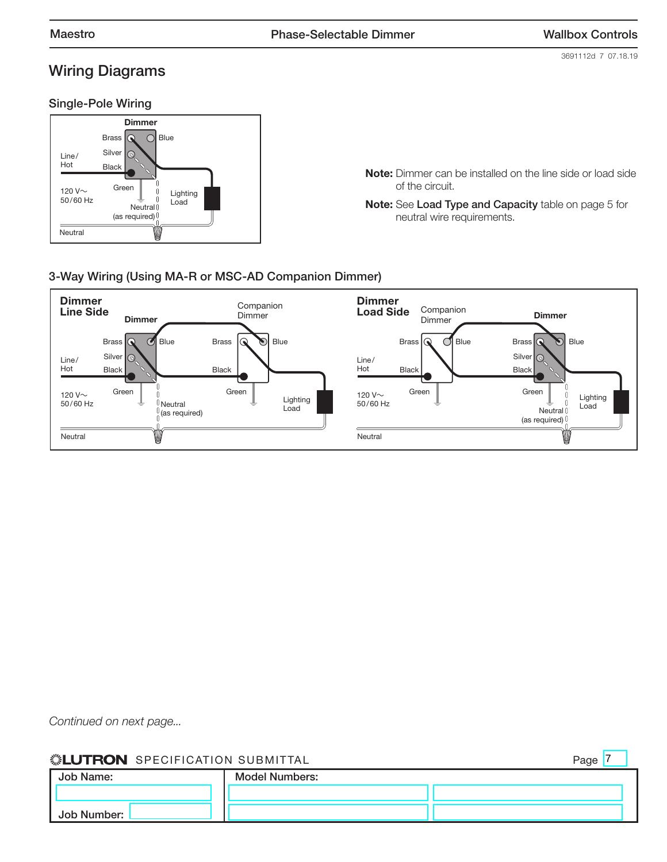Page 7

# Wiring Diagrams

3691112d 7 07.18.19

#### Single-Pole Wiring



Note: Dimmer can be installed on the line side or load side of the circuit.

Note: See Load Type and Capacity table on page 5 for neutral wire requirements.

### 3-Way Wiring (Using MA-R or MSC-AD Companion Dimmer)



*Continued on next page...*

### **SEUTRON** SPECIFICATION SUBMITTAL

| Job Name:   | <b>Model Numbers:</b> |  |
|-------------|-----------------------|--|
|             |                       |  |
| Job Number: |                       |  |